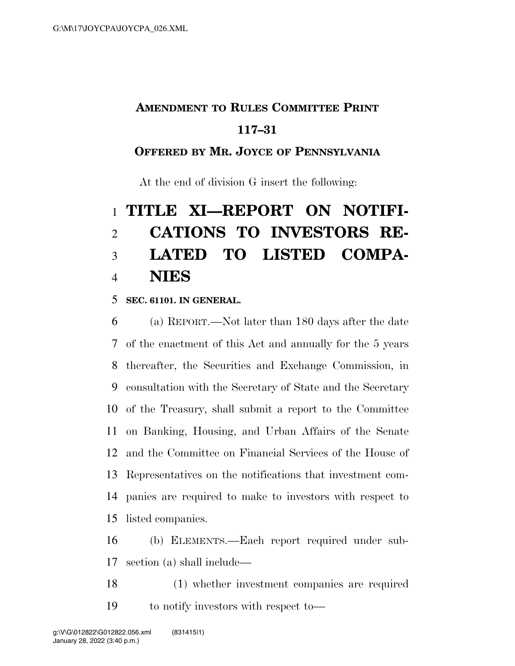## **AMENDMENT TO RULES COMMITTEE PRINT**

### **117–31**

### **OFFERED BY MR. JOYCE OF PENNSYLVANIA**

At the end of division G insert the following:

# **TITLE XI—REPORT ON NOTIFI- CATIONS TO INVESTORS RE- LATED TO LISTED COMPA-NIES**

#### **SEC. 61101. IN GENERAL.**

 (a) REPORT.—Not later than 180 days after the date of the enactment of this Act and annually for the 5 years thereafter, the Securities and Exchange Commission, in consultation with the Secretary of State and the Secretary of the Treasury, shall submit a report to the Committee on Banking, Housing, and Urban Affairs of the Senate and the Committee on Financial Services of the House of Representatives on the notifications that investment com- panies are required to make to investors with respect to listed companies.

 (b) ELEMENTS.—Each report required under sub-section (a) shall include—

 (1) whether investment companies are required to notify investors with respect to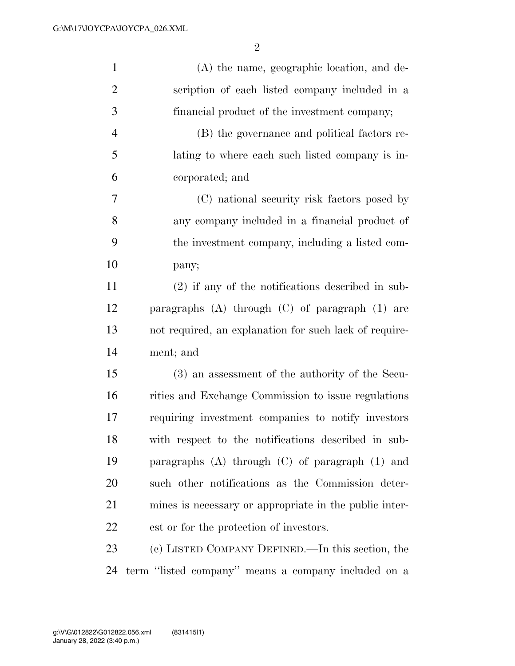| $\mathbf{1}$   | (A) the name, geographic location, and de-             |
|----------------|--------------------------------------------------------|
| $\overline{2}$ | scription of each listed company included in a         |
| 3              | financial product of the investment company;           |
| $\overline{4}$ | (B) the governance and political factors re-           |
| 5              | lating to where each such listed company is in-        |
| 6              | corporated; and                                        |
| 7              | (C) national security risk factors posed by            |
| 8              | any company included in a financial product of         |
| 9              | the investment company, including a listed com-        |
| 10             | pany;                                                  |
| 11             | $(2)$ if any of the notifications described in sub-    |
| 12             | paragraphs $(A)$ through $(C)$ of paragraph $(1)$ are  |
| 13             | not required, an explanation for such lack of require- |
| 14             | ment; and                                              |
| 15             | (3) an assessment of the authority of the Secu-        |
| 16             | rities and Exchange Commission to issue regulations    |
| 17             | requiring investment companies to notify investors     |
| 18             | with respect to the notifications described in sub-    |
| 19             | paragraphs $(A)$ through $(C)$ of paragraph $(1)$ and  |
| 20             | such other notifications as the Commission deter-      |
| 21             | mines is necessary or appropriate in the public inter- |
| 22             | est or for the protection of investors.                |
| 23             | (c) LISTED COMPANY DEFINED.—In this section, the       |
| 24             | term "listed company" means a company included on a    |